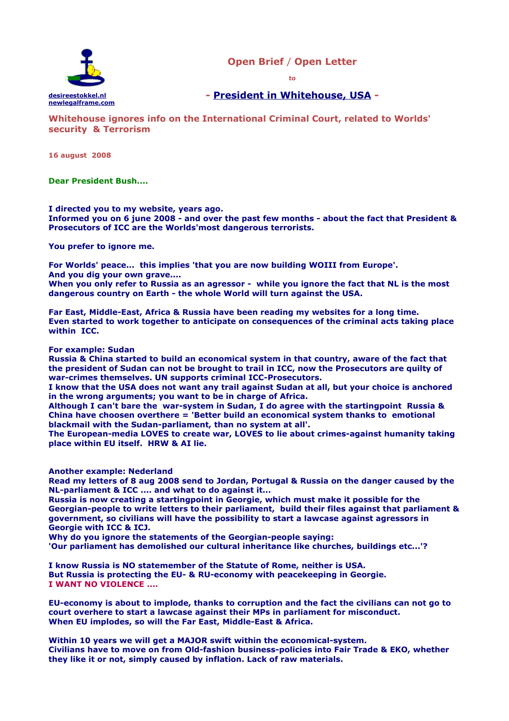

**Open Brief** / **Open Letter**

**to**

**- [President in Whitehouse, USA](http://www.whitehouse.gov/) -**

**Whitehouse ignores info on the International Criminal Court, related to Worlds' security & Terrorism** 

**16 august 2008**

**Dear President Bush....**

**I directed you to my website, years ago. Informed you on 6 june 2008 - and over the past few months - about the fact that President & Prosecutors of ICC are the Worlds'most dangerous terrorists.**

**You prefer to ignore me.** 

**For Worlds' peace... this implies 'that you are now building WOIII from Europe'. And you dig your own grave....**

**When you only refer to Russia as an agressor - while you ignore the fact that NL is the most dangerous country on Earth - the whole World will turn against the USA.**

**Far East, Middle-East, Africa & Russia have been reading my websites for a long time. Even started to work together to anticipate on consequences of the criminal acts taking place within ICC.**

**For example: Sudan**

**Russia & China started to build an economical system in that country, aware of the fact that the president of Sudan can not be brought to trail in ICC, now the Prosecutors are quilty of war-crimes themselves. UN supports criminal ICC-Prosecutors.**

**I know that the USA does not want any trail against Sudan at all, but your choice is anchored in the wrong arguments; you want to be in charge of Africa.**

**Although I can't bare the war-system in Sudan, I do agree with the startingpoint Russia & China have choosen overthere = 'Better build an economical system thanks to emotional blackmail with the Sudan-parliament, than no system at all'.** 

**The European-media LOVES to create war, LOVES to lie about crimes-against humanity taking place within EU itself. HRW & AI lie.**

**Another example: Nederland**

**Read my letters of 8 aug 2008 send to Jordan, Portugal & Russia on the danger caused by the NL-parliament & ICC .... and what to do against it...**

**Russia is now creating a startingpoint in Georgie, which must make it possible for the Georgian-people to write letters to their parliament, build their files against that parliament & government, so civilians will have the possibility to start a lawcase against agressors in Georgie with ICC & ICJ.** 

**Why do you ignore the statements of the Georgian-people saying:**

**'Our parliament has demolished our cultural inheritance like churches, buildings etc...'?** 

**I know Russia is NO statemember of the Statute of Rome, neither is USA. But Russia is protecting the EU- & RU-economy with peacekeeping in Georgie. I WANT NO VIOLENCE ....**

**EU-economy is about to implode, thanks to corruption and the fact the civilians can not go to court overhere to start a lawcase against their MPs in parliament for misconduct. When EU implodes, so will the Far East, Middle-East & Africa.**

**Within 10 years we will get a MAJOR swift within the economical-system. Civilians have to move on from Old-fashion business-policies into Fair Trade & EKO, whether they like it or not, simply caused by inflation. Lack of raw materials.**